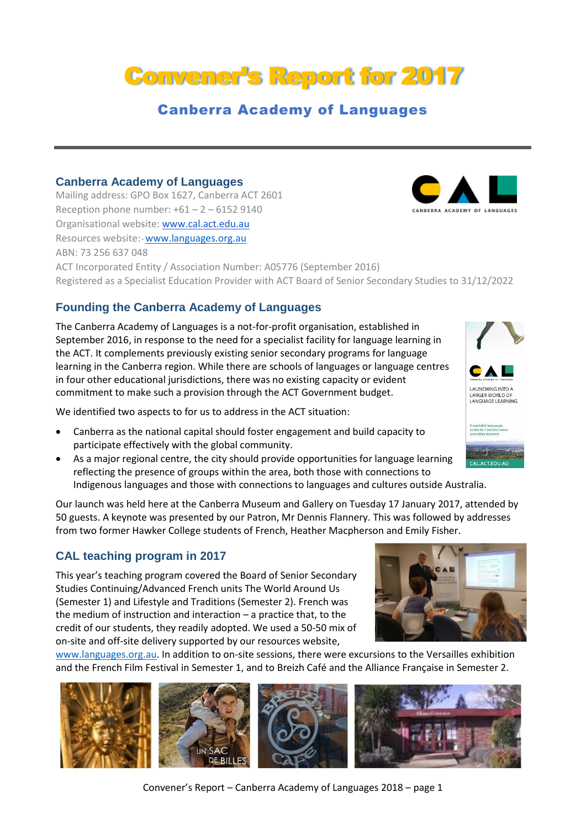# Convener's Report for 2017

## Canberra Academy of Languages

#### **Canberra Academy of Languages**

Mailing address: GPO Box 1627, Canberra ACT 2601 Reception phone number:  $+61 - 2 - 61529140$ Organisational website[: www.cal.act.edu.au](http://www.cal.act.edu.au/) Resources website: [www.languages.org.au](http://www.languages.org.au/) ABN: 73 256 637 048 ACT Incorporated Entity / Association Number: A05776 (September 2016) Registered as a Specialist Education Provider with ACT Board of Senior Secondary Studies to 31/12/2022

#### **Founding the Canberra Academy of Languages**

The Canberra Academy of Languages is a not-for-profit organisation, established in September 2016, in response to the need for a specialist facility for language learning in the ACT. It complements previously existing senior secondary programs for language learning in the Canberra region. While there are schools of languages or language centres in four other educational jurisdictions, there was no existing capacity or evident commitment to make such a provision through the ACT Government budget.

We identified two aspects to for us to address in the ACT situation:

- Canberra as the national capital should foster engagement and build capacity to participate effectively with the global community.
- As a major regional centre, the city should provide opportunities for language learning reflecting the presence of groups within the area, both those with connections to Indigenous languages and those with connections to languages and cultures outside Australia.

Our launch was held here at the Canberra Museum and Gallery on Tuesday 17 January 2017, attended by 50 guests. A keynote was presented by our Patron, Mr Dennis Flannery. This was followed by addresses from two former Hawker College students of French, Heather Macpherson and Emily Fisher.

#### **CAL teaching program in 2017**

This year's teaching program covered the Board of Senior Secondary Studies Continuing/Advanced French units The World Around Us (Semester 1) and Lifestyle and Traditions (Semester 2). French was the medium of instruction and interaction – a practice that, to the credit of our students, they readily adopted. We used a 50-50 mix of on-site and off-site delivery supported by our resources website,

[www.languages.org.au.](http://www.languages.org.au/) In addition to on-site sessions, there were excursions to the Versailles exhibition and the French Film Festival in Semester 1, and to Breizh Café and the Alliance Française in Semester 2.











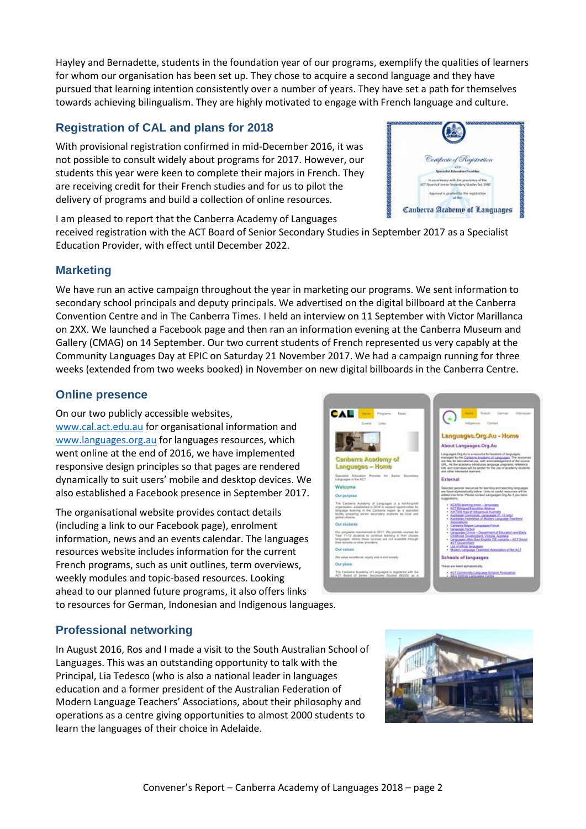Hayley and Bernadette, students in the foundation year of our programs, exemplify the qualities of learners for whom our organisation has been set up. They chose to acquire a second language and they have pursued that learning intention consistently over a number of years. They have set a path for themselves towards achieving bilingualism. They are highly motivated to engage with French language and culture.

#### **Registration of CAL and plans for 2018**

With provisional registration confirmed in mid-December 2016, it was not possible to consult widely about programs for 2017. However, our students this year were keen to complete their majors in French. They are receiving credit for their French studies and for us to pilot the delivery of programs and build a collection of online resources.

I am pleased to report that the Canberra Academy of Languages

received registration with the ACT Board of Senior Secondary Studies in September 2017 as a Specialist Education Provider, with effect until December 2022.

#### **Marketing**

We have run an active campaign throughout the year in marketing our programs. We sent information to secondary school principals and deputy principals. We advertised on the digital billboard at the Canberra Convention Centre and in The Canberra Times. I held an interview on 11 September with Victor Marillanca on 2XX. We launched a Facebook page and then ran an information evening at the Canberra Museum and Gallery (CMAG) on 14 September. Our two current students of French represented us very capably at the Community Languages Day at EPIC on Saturday 21 November 2017. We had a campaign running for three weeks (extended from two weeks booked) in November on new digital billboards in the Canberra Centre.

#### **Online presence**

On our two publicly accessible websites, [www.cal.act.edu.au](http://www.cal.act.edu.au/) for organisational information and [www.languages.org.au](http://www.languages.org.au/) for languages resources, which went online at the end of 2016, we have implemented responsive design principles so that pages are rendered dynamically to suit users' mobile and desktop devices. We also established a Facebook presence in September 2017.

The organisational website provides contact details (including a link to our Facebook page), enrolment information, news and an events calendar. The languages resources website includes information for the current French programs, such as unit outlines, term overviews, weekly modules and topic-based resources. Looking ahead to our planned future programs, it also offers links



to resources for German, Indonesian and Indigenous languages.

### **Professional networking**

In August 2016, Ros and I made a visit to the South Australian School of Languages. This was an outstanding opportunity to talk with the Principal, Lia Tedesco (who is also a national leader in languages education and a former president of the Australian Federation of Modern Language Teachers' Associations, about their philosophy and operations as a centre giving opportunities to almost 2000 students to learn the languages of their choice in Adelaide.



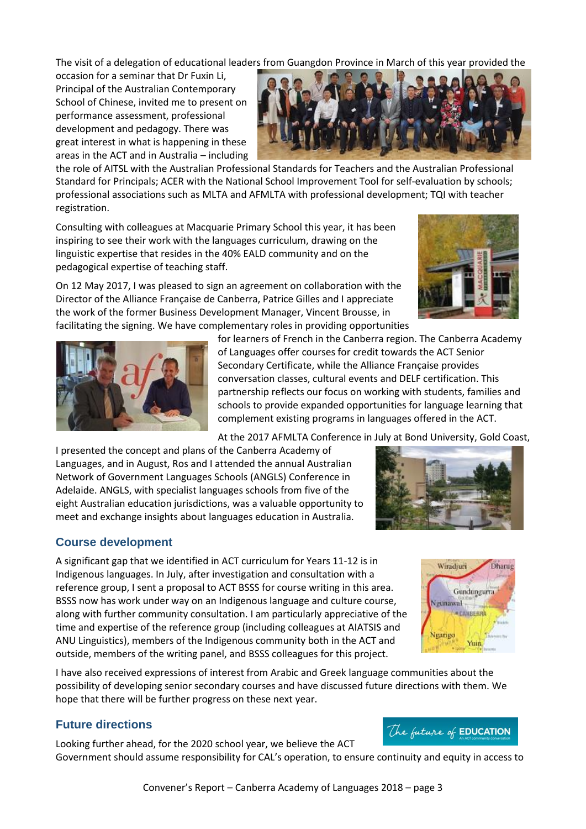The visit of a delegation of educational leaders from Guangdon Province in March of this year provided the

occasion for a seminar that Dr Fuxin Li, Principal of the Australian Contemporary School of Chinese, invited me to present on performance assessment, professional development and pedagogy. There was great interest in what is happening in these areas in the ACT and in Australia – including



Consulting with colleagues at Macquarie Primary School this year, it has been inspiring to see their work with the languages curriculum, drawing on the linguistic expertise that resides in the 40% EALD community and on the pedagogical expertise of teaching staff.

On 12 May 2017, I was pleased to sign an agreement on collaboration with the Director of the Alliance Française de Canberra, Patrice Gilles and I appreciate the work of the former Business Development Manager, Vincent Brousse, in facilitating the signing. We have complementary roles in providing opportunities





for learners of French in the Canberra region. The Canberra Academy of Languages offer courses for credit towards the ACT Senior Secondary Certificate, while the Alliance Française provides conversation classes, cultural events and DELF certification. This partnership reflects our focus on working with students, families and schools to provide expanded opportunities for language learning that complement existing programs in languages offered in the ACT.

At the 2017 AFMLTA Conference in July at Bond University, Gold Coast,

I presented the concept and plans of the Canberra Academy of Languages, and in August, Ros and I attended the annual Australian Network of Government Languages Schools (ANGLS) Conference in Adelaide. ANGLS, with specialist languages schools from five of the eight Australian education jurisdictions, was a valuable opportunity to meet and exchange insights about languages education in Australia.

#### **Course development**

A significant gap that we identified in ACT curriculum for Years 11-12 is in Indigenous languages. In July, after investigation and consultation with a reference group, I sent a proposal to ACT BSSS for course writing in this area. BSSS now has work under way on an Indigenous language and culture course, along with further community consultation. I am particularly appreciative of the time and expertise of the reference group (including colleagues at AIATSIS and ANU Linguistics), members of the Indigenous community both in the ACT and outside, members of the writing panel, and BSSS colleagues for this project.

I have also received expressions of interest from Arabic and Greek language communities about the possibility of developing senior secondary courses and have discussed future directions with them. We hope that there will be further progress on these next year.

#### **Future directions**

Looking further ahead, for the 2020 school year, we believe the ACT Government should assume responsibility for CAL's operation, to ensure continuity and equity in access to



Wiradsuri

Neumawal

Vitarioc

Gundungurra

**\*CANBERR** 

Yuin

**Dharue**